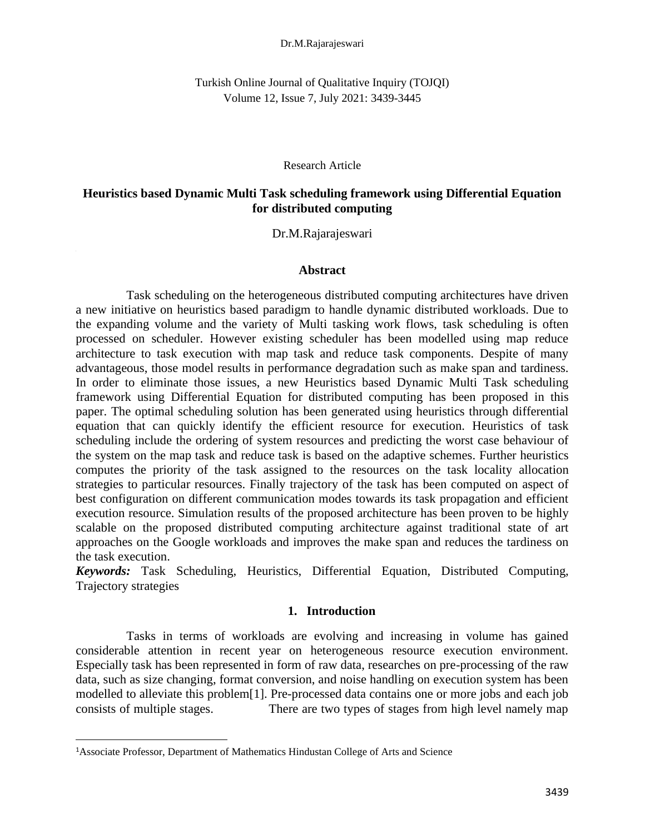#### Dr.M.Rajarajeswari

Turkish Online Journal of Qualitative Inquiry (TOJQI) Volume 12, Issue 7, July 2021: 3439-3445

Research Article

# **Heuristics based Dynamic Multi Task scheduling framework using Differential Equation for distributed computing**

## Dr.M.Rajarajeswari

#### **Abstract**

 Task scheduling on the heterogeneous distributed computing architectures have driven a new initiative on heuristics based paradigm to handle dynamic distributed workloads. Due to the expanding volume and the variety of Multi tasking work flows, task scheduling is often processed on scheduler. However existing scheduler has been modelled using map reduce architecture to task execution with map task and reduce task components. Despite of many advantageous, those model results in performance degradation such as make span and tardiness. In order to eliminate those issues, a new Heuristics based Dynamic Multi Task scheduling framework using Differential Equation for distributed computing has been proposed in this paper. The optimal scheduling solution has been generated using heuristics through differential equation that can quickly identify the efficient resource for execution. Heuristics of task scheduling include the ordering of system resources and predicting the worst case behaviour of the system on the map task and reduce task is based on the adaptive schemes. Further heuristics computes the priority of the task assigned to the resources on the task locality allocation strategies to particular resources. Finally trajectory of the task has been computed on aspect of best configuration on different communication modes towards its task propagation and efficient execution resource. Simulation results of the proposed architecture has been proven to be highly scalable on the proposed distributed computing architecture against traditional state of art approaches on the Google workloads and improves the make span and reduces the tardiness on the task execution.

*Keywords:* Task Scheduling, Heuristics, Differential Equation, Distributed Computing, Trajectory strategies

## **1. Introduction**

 Tasks in terms of workloads are evolving and increasing in volume has gained considerable attention in recent year on heterogeneous resource execution environment. Especially task has been represented in form of raw data, researches on pre-processing of the raw data, such as size changing, format conversion, and noise handling on execution system has been modelled to alleviate this problem[1]. Pre-processed data contains one or more jobs and each job consists of multiple stages. There are two types of stages from high level namely map

<sup>1</sup>Associate Professor, Department of Mathematics Hindustan College of Arts and Science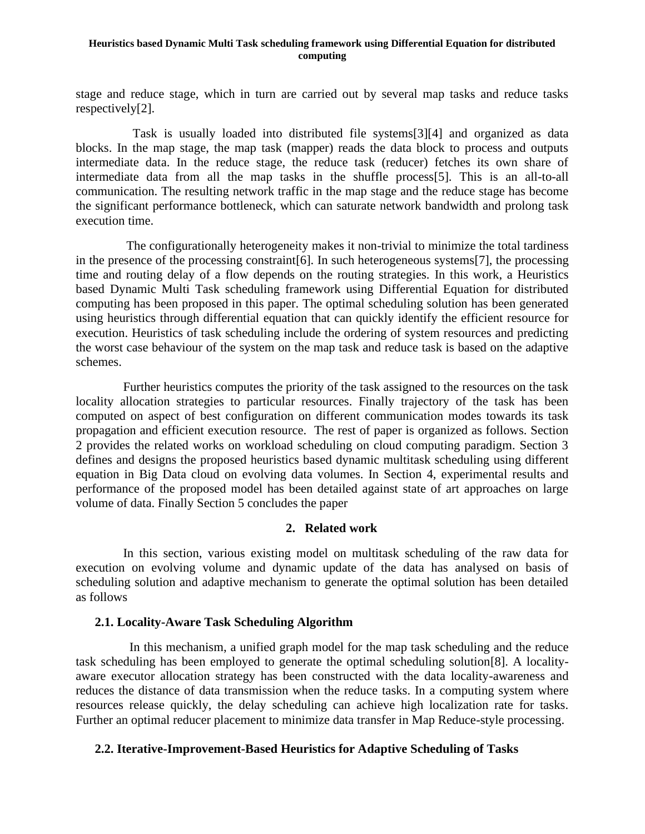### **Heuristics based Dynamic Multi Task scheduling framework using Differential Equation for distributed computing**

stage and reduce stage, which in turn are carried out by several map tasks and reduce tasks respectively[2].

 Task is usually loaded into distributed file systems[3][4] and organized as data blocks. In the map stage, the map task (mapper) reads the data block to process and outputs intermediate data. In the reduce stage, the reduce task (reducer) fetches its own share of intermediate data from all the map tasks in the shuffle process[5]. This is an all-to-all communication. The resulting network traffic in the map stage and the reduce stage has become the significant performance bottleneck, which can saturate network bandwidth and prolong task execution time.

 The configurationally heterogeneity makes it non-trivial to minimize the total tardiness in the presence of the processing constraint[6]. In such heterogeneous systems[7], the processing time and routing delay of a flow depends on the routing strategies. In this work, a Heuristics based Dynamic Multi Task scheduling framework using Differential Equation for distributed computing has been proposed in this paper. The optimal scheduling solution has been generated using heuristics through differential equation that can quickly identify the efficient resource for execution. Heuristics of task scheduling include the ordering of system resources and predicting the worst case behaviour of the system on the map task and reduce task is based on the adaptive schemes.

 Further heuristics computes the priority of the task assigned to the resources on the task locality allocation strategies to particular resources. Finally trajectory of the task has been computed on aspect of best configuration on different communication modes towards its task propagation and efficient execution resource. The rest of paper is organized as follows. Section 2 provides the related works on workload scheduling on cloud computing paradigm. Section 3 defines and designs the proposed heuristics based dynamic multitask scheduling using different equation in Big Data cloud on evolving data volumes. In Section 4, experimental results and performance of the proposed model has been detailed against state of art approaches on large volume of data. Finally Section 5 concludes the paper

# **2. Related work**

 In this section, various existing model on multitask scheduling of the raw data for execution on evolving volume and dynamic update of the data has analysed on basis of scheduling solution and adaptive mechanism to generate the optimal solution has been detailed as follows

# **2.1. Locality-Aware Task Scheduling Algorithm**

In this mechanism, a unified graph model for the map task scheduling and the reduce task scheduling has been employed to generate the optimal scheduling solution[8]. A localityaware executor allocation strategy has been constructed with the data locality-awareness and reduces the distance of data transmission when the reduce tasks. In a computing system where resources release quickly, the delay scheduling can achieve high localization rate for tasks. Further an optimal reducer placement to minimize data transfer in Map Reduce-style processing.

# **2.2. Iterative-Improvement-Based Heuristics for Adaptive Scheduling of Tasks**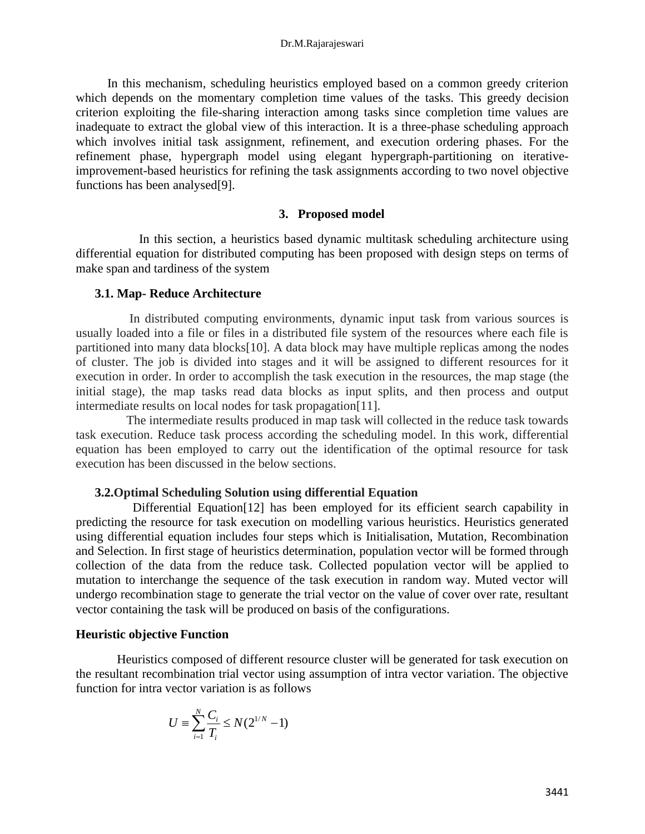#### Dr.M.Rajarajeswari

 In this mechanism, scheduling heuristics employed based on a common greedy criterion which depends on the momentary completion time values of the tasks. This greedy decision criterion exploiting the file-sharing interaction among tasks since completion time values are inadequate to extract the global view of this interaction. It is a three-phase scheduling approach which involves initial task assignment, refinement, and execution ordering phases. For the refinement phase, hypergraph model using elegant hypergraph-partitioning on iterativeimprovement-based heuristics for refining the task assignments according to two novel objective functions has been analysed[9].

## **3. Proposed model**

 In this section, a heuristics based dynamic multitask scheduling architecture using differential equation for distributed computing has been proposed with design steps on terms of make span and tardiness of the system

#### **3.1. Map- Reduce Architecture**

 In distributed computing environments, dynamic input task from various sources is usually loaded into a file or files in a distributed file system of the resources where each file is partitioned into many data blocks[10]. A data block may have multiple replicas among the nodes of cluster. The job is divided into stages and it will be assigned to different resources for it execution in order. In order to accomplish the task execution in the resources, the map stage (the initial stage), the map tasks read data blocks as input splits, and then process and output intermediate results on local nodes for task propagation[11].

 The intermediate results produced in map task will collected in the reduce task towards task execution. Reduce task process according the scheduling model. In this work, differential equation has been employed to carry out the identification of the optimal resource for task execution has been discussed in the below sections.

## **3.2.Optimal Scheduling Solution using differential Equation**

 Differential Equation[12] has been employed for its efficient search capability in predicting the resource for task execution on modelling various heuristics. Heuristics generated using differential equation includes four steps which is Initialisation, Mutation, Recombination and Selection. In first stage of heuristics determination, population vector will be formed through collection of the data from the reduce task. Collected population vector will be applied to mutation to interchange the sequence of the task execution in random way. Muted vector will undergo recombination stage to generate the trial vector on the value of cover over rate, resultant vector containing the task will be produced on basis of the configurations.

#### **Heuristic objective Function**

 Heuristics composed of different resource cluster will be generated for task execution on the resultant recombination trial vector using assumption of intra vector variation. The objective function for intra vector variation is as follows

$$
U \equiv \sum_{i=1}^N \frac{C_i}{T_i} \leq N(2^{1/N} - 1)
$$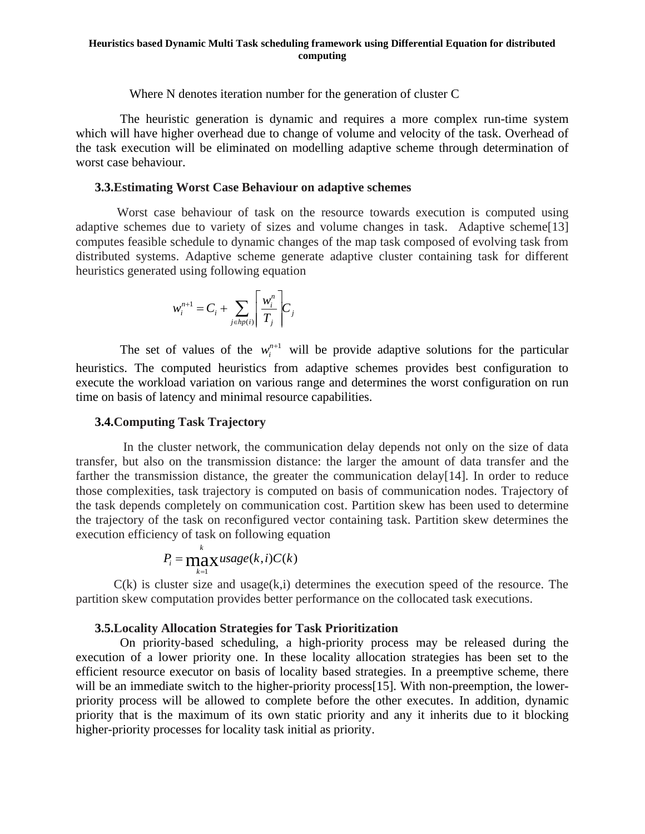#### **Heuristics based Dynamic Multi Task scheduling framework using Differential Equation for distributed computing**

Where N denotes iteration number for the generation of cluster C

 The heuristic generation is dynamic and requires a more complex run-time system which will have higher overhead due to change of volume and velocity of the task. Overhead of the task execution will be eliminated on modelling adaptive scheme through determination of worst case behaviour.

## **3.3.Estimating Worst Case Behaviour on adaptive schemes**

 Worst case behaviour of task on the resource towards execution is computed using adaptive schemes due to variety of sizes and volume changes in task. Adaptive scheme[13] computes feasible schedule to dynamic changes of the map task composed of evolving task from distributed systems. Adaptive scheme generate adaptive cluster containing task for different heuristics generated using following equation

$$
w_i^{n+1} = C_i + \sum_{j \in hp(i)} \left\lceil \frac{w_i^n}{T_j} \right\rceil C_j
$$

The set of values of the  $w_i^{n+1}$  will be provide adaptive solutions for the particular heuristics. The computed heuristics from adaptive schemes provides best configuration to execute the workload variation on various range and determines the worst configuration on run time on basis of latency and minimal resource capabilities.

## **3.4.Computing Task Trajectory**

 In the cluster network, the communication delay depends not only on the size of data transfer, but also on the transmission distance: the larger the amount of data transfer and the farther the transmission distance, the greater the communication delay[14]. In order to reduce those complexities, task trajectory is computed on basis of communication nodes. Trajectory of the task depends completely on communication cost. Partition skew has been used to determine the trajectory of the task on reconfigured vector containing task. Partition skew determines the execution efficiency of task on following equation

$$
P_i = \max_{k=1}^k usage(k, i)C(k)
$$

 $C(k)$  is cluster size and usage $(k,i)$  determines the execution speed of the resource. The partition skew computation provides better performance on the collocated task executions.

# **3.5.Locality Allocation Strategies for Task Prioritization**

 On priority-based scheduling, a high-priority process may be released during the execution of a lower priority one. In these locality allocation strategies has been set to the efficient resource executor on basis of locality based strategies. In a preemptive scheme, there will be an immediate switch to the higher-priority process<sup>[15]</sup>. With non-preemption, the lowerpriority process will be allowed to complete before the other executes. In addition, dynamic priority that is the maximum of its own static priority and any it inherits due to it blocking higher-priority processes for locality task initial as priority.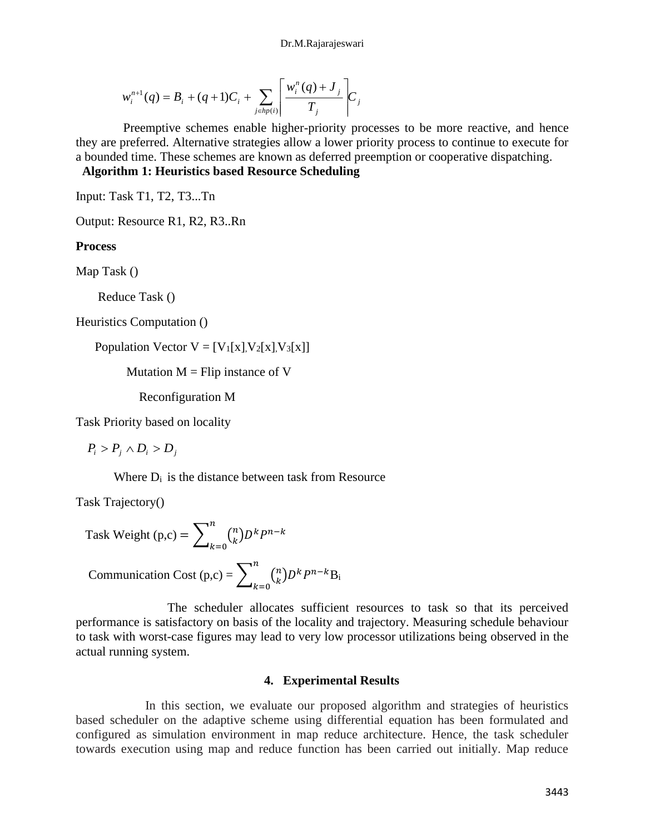#### Dr.M.Rajarajeswari

$$
w_i^{n+1}(q) = B_i + (q+1)C_i + \sum_{j \in hp(i)} \left[ \frac{w_i^n(q) + J_j}{T_j} \right] C_j
$$

 Preemptive schemes enable higher-priority processes to be more reactive, and hence they are preferred. Alternative strategies allow a lower priority process to continue to execute for a bounded time. These schemes are known as deferred preemption or cooperative dispatching.  **Algorithm 1: Heuristics based Resource Scheduling**

Input: Task T1, T2, T3...Tn

Output: Resource R1, R2, R3..Rn

## **Process**

Map Task ()

Reduce Task ()

Heuristics Computation ()

Population Vector  $V = [V_1[x], V_2[x], V_3[x]]$ 

Mutation  $M =$  Flip instance of V

Reconfiguration M

Task Priority based on locality

 $P_i > P_j \wedge D_i > D_j$ 

Where  $D_i$  is the distance between task from Resource

Task Trajectory()

Task Weight (p,c) = 
$$
\sum_{k=0}^{n} {n \choose k} D^k P^{n-k}
$$

$$
Communication Cost (p,c) = \sum_{k=0}^{n} {n \choose k} D^k P^{n-k} B_i
$$

 The scheduler allocates sufficient resources to task so that its perceived performance is satisfactory on basis of the locality and trajectory. Measuring schedule behaviour to task with worst-case figures may lead to very low processor utilizations being observed in the actual running system.

## **4. Experimental Results**

In this section, we evaluate our proposed algorithm and strategies of heuristics based scheduler on the adaptive scheme using differential equation has been formulated and configured as simulation environment in map reduce architecture. Hence, the task scheduler towards execution using map and reduce function has been carried out initially. Map reduce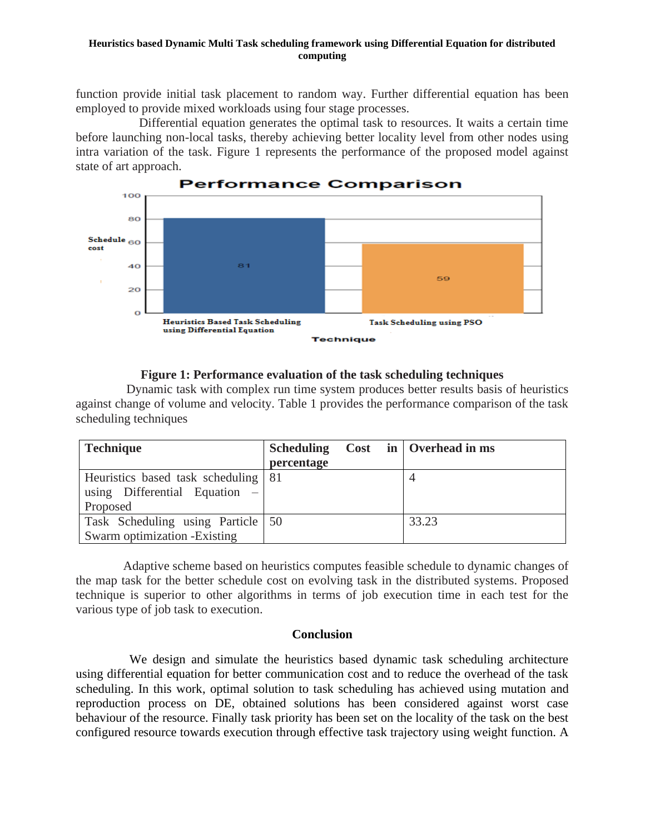### **Heuristics based Dynamic Multi Task scheduling framework using Differential Equation for distributed computing**

function provide initial task placement to random way. Further differential equation has been employed to provide mixed workloads using four stage processes.

 Differential equation generates the optimal task to resources. It waits a certain time before launching non-local tasks, thereby achieving better locality level from other nodes using intra variation of the task. Figure 1 represents the performance of the proposed model against state of art approach.



# **Figure 1: Performance evaluation of the task scheduling techniques**

 Dynamic task with complex run time system produces better results basis of heuristics against change of volume and velocity. Table 1 provides the performance comparison of the task scheduling techniques

| <b>Technique</b>                      |            |  | Scheduling Cost in   Overhead in ms |
|---------------------------------------|------------|--|-------------------------------------|
|                                       | percentage |  |                                     |
| Heuristics based task scheduling   81 |            |  |                                     |
| using Differential Equation $-$       |            |  |                                     |
| Proposed                              |            |  |                                     |
| Task Scheduling using Particle 50     |            |  | 33.23                               |
| Swarm optimization - Existing         |            |  |                                     |

 Adaptive scheme based on heuristics computes feasible schedule to dynamic changes of the map task for the better schedule cost on evolving task in the distributed systems. Proposed technique is superior to other algorithms in terms of job execution time in each test for the various type of job task to execution.

# **Conclusion**

We design and simulate the heuristics based dynamic task scheduling architecture using differential equation for better communication cost and to reduce the overhead of the task scheduling. In this work, optimal solution to task scheduling has achieved using mutation and reproduction process on DE, obtained solutions has been considered against worst case behaviour of the resource. Finally task priority has been set on the locality of the task on the best configured resource towards execution through effective task trajectory using weight function. A